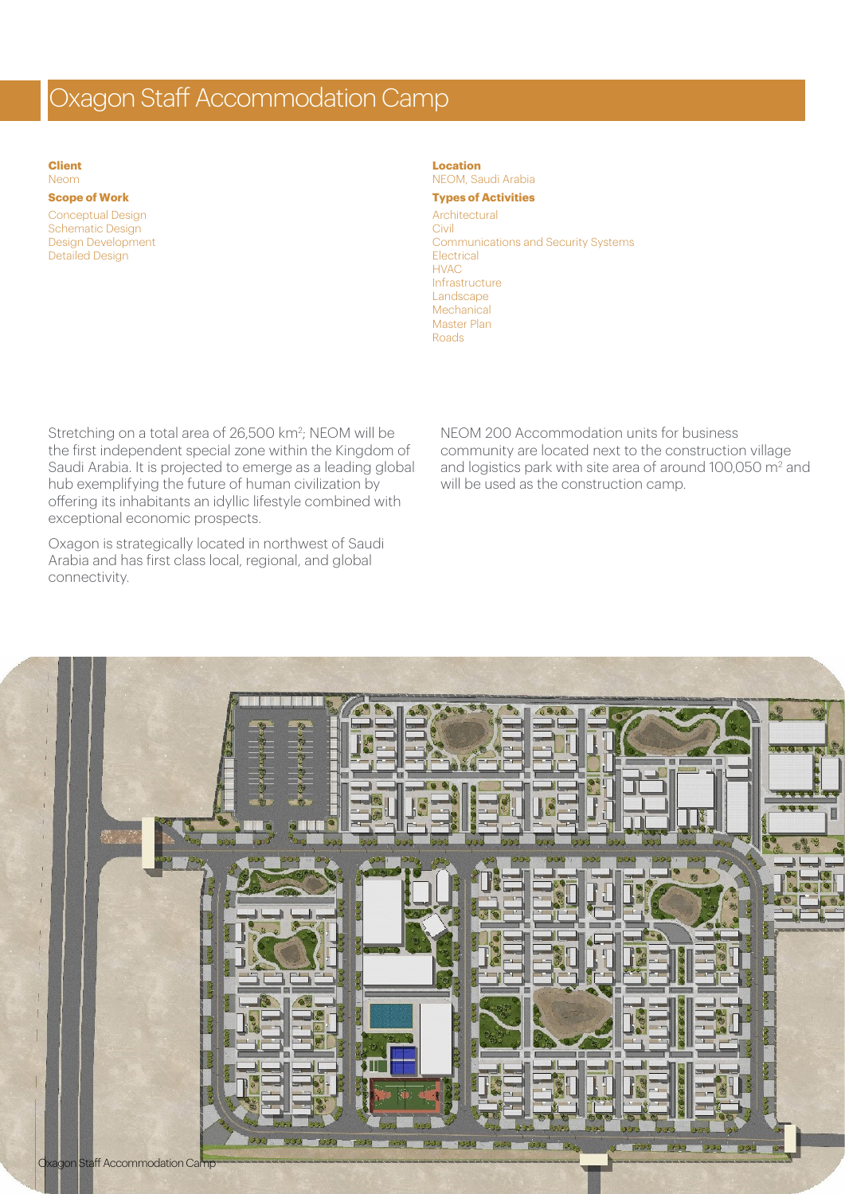## Oxagon Staff Accommodation Camp

**Client** Neom

## **Scope of Work**

Conceptual Design Schematic Design Design Development Detailed Design

## **Location**

NEOM, Saudi Arabia **Types of Activities**

## Architectural

Civil Communications and Security Systems **Electrical** HVAC Infrastructure **Landscape** Mechanical Master Plan Roads

Stretching on a total area of 26,500 km<sup>2</sup>; NEOM will be the first independent special zone within the Kingdom of Saudi Arabia. It is projected to emerge as a leading global hub exemplifying the future of human civilization by offering its inhabitants an idyllic lifestyle combined with exceptional economic prospects.

Oxagon is strategically located in northwest of Saudi Arabia and has first class local, regional, and global connectivity.

NEOM 200 Accommodation units for business community are located next to the construction village and logistics park with site area of around 100,050 m<sup>2</sup> and will be used as the construction camp.